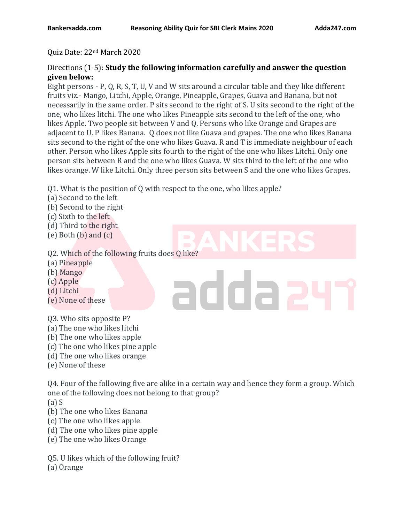#### Quiz Date: 22nd March 2020

### Directions (1-5): **Study the following information carefully and answer the question given below:**

Eight persons - P, Q, R, S, T, U, V and W sits around a circular table and they like different fruits viz.- Mango, Litchi, Apple, Orange, Pineapple, Grapes, Guava and Banana, but not necessarily in the same order. P sits second to the right of S. U sits second to the right of the one, who likes litchi. The one who likes Pineapple sits second to the left of the one, who likes Apple. Two people sit between V and Q. Persons who like Orange and Grapes are adjacent to U. P likes Banana. Q does not like Guava and grapes. The one who likes Banana sits second to the right of the one who likes Guava. R and T is immediate neighbour of each other. Person who likes Apple sits fourth to the right of the one who likes Litchi. Only one person sits between R and the one who likes Guava. W sits third to the left of the one who likes orange. W like Litchi. Only three person sits between S and the one who likes Grapes.

Q1. What is the position of Q with respect to the one, who likes apple?

- (a) Second to the left
- (b) Second to the right
- (c) Sixth to the left
- (d) Third to the right
- (e) Both (b) and (c)

# Q2. Which of the following fruits does Q like?

- (a) Pineapple
- (b) Mango
- (c) Apple
- (d) Litchi
- (e) None of these
- Q3. Who sits opposite P?
- (a) The one who likes litchi
- (b) The one who likes apple
- (c) The one who likes pine apple
- (d) The one who likes orange
- (e) None of these

Q4. Four of the following five are alike in a certain way and hence they form a group. Which one of the following does not belong to that group?

adda

(a) S

- (b) The one who likes Banana
- (c) The one who likes apple
- (d) The one who likes pine apple
- (e) The one who likes Orange
- Q5. U likes which of the following fruit?
- (a) Orange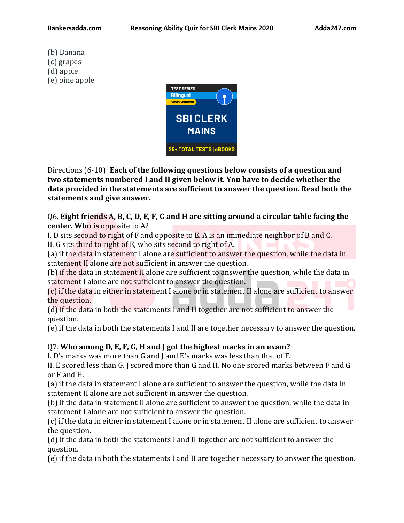(b) Banana (c) grapes (d) apple (e) pine apple



Directions (6-10): **Each of the following questions below consists of a question and two statements numbered I and II given below it. You have to decide whether the data provided in the statements are sufficient to answer the question. Read both the statements and give answer.**

Q6. **Eight friends A, B, C, D, E, F, G and H are sitting around a circular table facing the center. Who is** opposite to A?

I. D sits second to right of F and opposite to E. A is an immediate neighbor of B and C. II. G sits third to right of E, who sits second to right of A.

(a) if the data in statement I alone are sufficient to answer the question, while the data in statement II alone are not sufficient in answer the question.

(b) if the data in statement II alone are sufficient to answer the question, while the data in statement I alone are not sufficient to answer the question.

(c) if the data in either in statement I alone or in statement II alone are sufficient to answer the question.

(d) if the data in both the statements I and II together are not sufficient to answer the question.

(e) if the data in both the statements I and II are together necessary to answer the question.

## Q7. **Who among D, E, F, G, H and J got the highest marks in an exam?**

I. D's marks was more than G and J and E's marks was less than that of F.

II. E scored less than G. J scored more than G and H. No one scored marks between F and G or F and H.

(a) if the data in statement I alone are sufficient to answer the question, while the data in statement II alone are not sufficient in answer the question.

(b) if the data in statement II alone are sufficient to answer the question, while the data in statement I alone are not sufficient to answer the question.

(c) if the data in either in statement I alone or in statement II alone are sufficient to answer the question.

(d) if the data in both the statements I and II together are not sufficient to answer the question.

(e) if the data in both the statements I and II are together necessary to answer the question.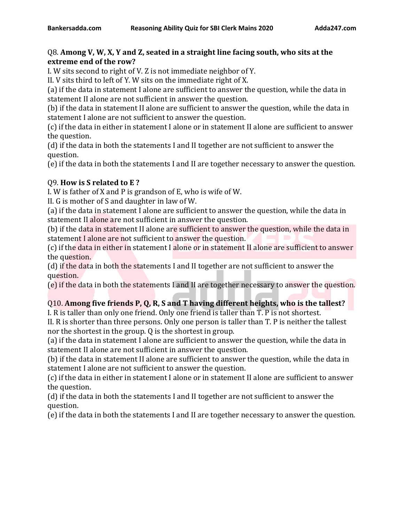# Q8. **Among V, W, X, Y and Z, seated in a straight line facing south, who sits at the extreme end of the row?**

I. W sits second to right of V. Z is not immediate neighbor of Y.

II. V sits third to left of Y. W sits on the immediate right of X.

(a) if the data in statement I alone are sufficient to answer the question, while the data in statement II alone are not sufficient in answer the question.

(b) if the data in statement II alone are sufficient to answer the question, while the data in statement I alone are not sufficient to answer the question.

(c) if the data in either in statement I alone or in statement II alone are sufficient to answer the question.

(d) if the data in both the statements I and II together are not sufficient to answer the question.

(e) if the data in both the statements I and II are together necessary to answer the question.

# Q9. **How is S related to E ?**

I. W is father of X and P is grandson of E, who is wife of W.

II. G is mother of S and daughter in law of W.

(a) if the data in statement I alone are sufficient to answer the question, while the data in statement II alone are not sufficient in answer the question.

(b) if the data in statement II alone are sufficient to answer the question, while the data in statement I alone are not sufficient to answer the question.

(c) if the data in either in statement I alone or in statement II alone are sufficient to answer the question.

(d) if the data in both the statements I and II together are not sufficient to answer the question.

(e) if the data in both the statements I and II are together necessary to answer the question.

# Q10. **Among five friends P, Q, R, S and T having different heights, who is the tallest?**

I. R is taller than only one friend. Only one friend is taller than T. P is not shortest.

II. R is shorter than three persons. Only one person is taller than T. P is neither the tallest nor the shortest in the group. Q is the shortest in group.

(a) if the data in statement I alone are sufficient to answer the question, while the data in statement II alone are not sufficient in answer the question.

(b) if the data in statement II alone are sufficient to answer the question, while the data in statement I alone are not sufficient to answer the question.

(c) if the data in either in statement I alone or in statement II alone are sufficient to answer the question.

(d) if the data in both the statements I and II together are not sufficient to answer the question.

(e) if the data in both the statements I and II are together necessary to answer the question.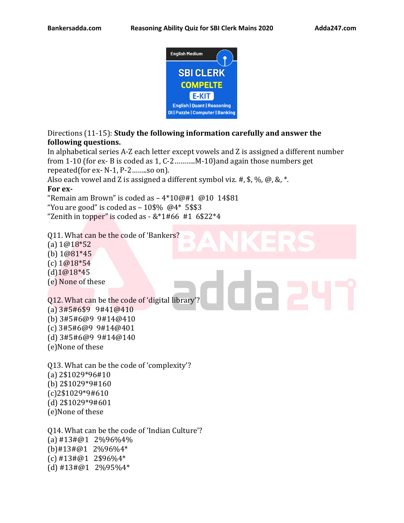

Directions (11-15): **Study the following information carefully and answer the following questions.**

In alphabetical series A-Z each letter except vowels and Z is assigned a different number from 1-10 (for ex- B is coded as 1, C-2………..M-10)and again those numbers get repeated(for ex- N-1, P-2……..so on).

Also each vowel and Z is assigned a different symbol viz. #,  $\frac{6}{3}$ ,  $\frac{6}{9}$ , &,  $\frac{8}{3}$ .

#### **For ex-**

"Remain am Brown" is coded as  $-4*10@#1$  @10 14\$81

"You are good" is coded as  $-10\$ % \; \omega4\* 5\\$3

"Zenith in topper" is coded as  $-$  &\*1#66 #1 6\$22\*4

Q11. What can be the code of 'Bankers? (a) 1@18\*52 (b) 1@81\*45 (c) 1@18\*54

(d)1@18\*45

(e) None of these

Q12. What can be the code of 'digital library'? (a) 3#5#6\$9 9#41@410 (b) 3#5#6@9 9#14@410 (c) 3#5#6@9 9#14@401 (d) 3#5#6@9 9#14@140 (e)None of these

Q13. What can be the code of 'complexity'? (a) 2\$1029\*96#10 (b) 2\$1029\*9#160 (c)2\$1029\*9#610 (d) 2\$1029\*9#601 (e)None of these

Q14. What can be the code of 'Indian Culture'? (a) #13#@1 2%96%4% (b)#13#@1 2%96%4\* (c) #13#@1 2\$96%4\* (d) #13#@1 2%95%4\*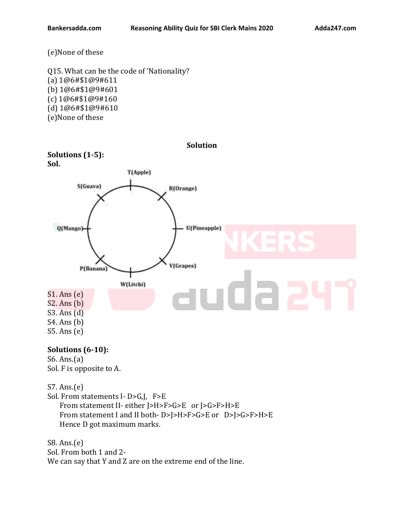(e)None of these

Q15. What can be the code of 'Nationality? (a) 1@6#\$1@9#611 (b) 1@6#\$1@9#601 (c) 1@6#\$1@9#160 (d) 1@6#\$1@9#610 (e)None of these



## **Solutions (6-10):**

S6. Ans.(a) Sol. F is opposite to A.

S7. Ans.(e)

Sol. From statements I- D>G,J, F>E

 From statement II- either J>H>F>G>E or J>G>F>H>E From statement I and II both- D>J>H>F>G>E or D>J>G>F>H>E Hence D got maximum marks.

S8. Ans.(e) Sol. From both 1 and 2- We can say that Y and Z are on the extreme end of the line.